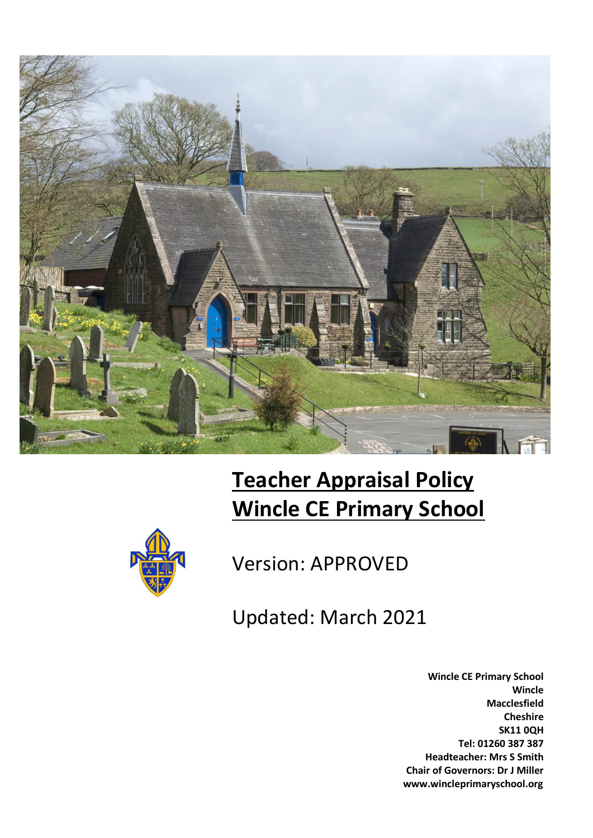

# **Teacher Appraisal Policy Wincle CE Primary School**



Version: APPROVED

Updated: March 2021

**Wincle CE Primary School Wincle Macclesfield Cheshire SK11 0QH Tel: 01260 387 387 Headteacher: Mrs S Smith Chair of Governors: Dr J Miller www.wincleprimaryschool.org**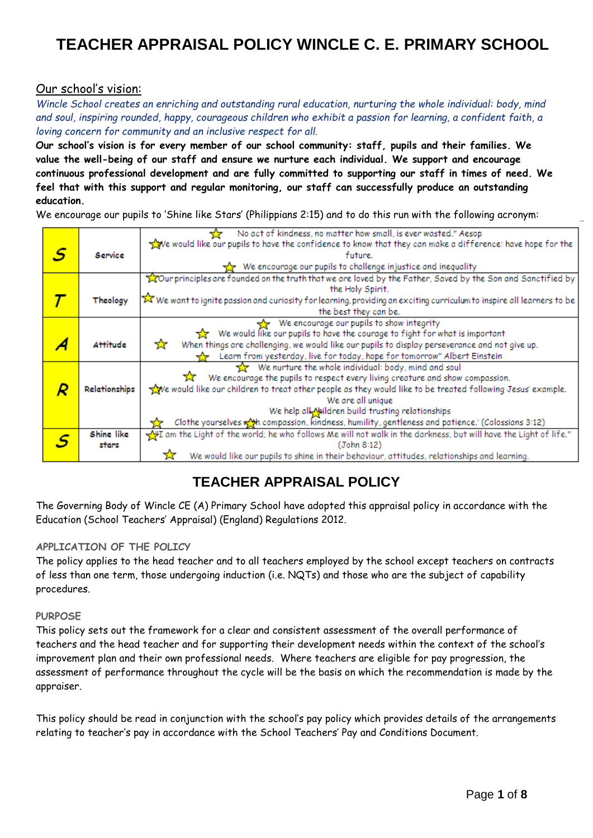#### Our school's vision:

*Wincle School creates an enriching and outstanding rural education, nurturing the whole individual: body, mind and soul, inspiring rounded, happy, courageous children who exhibit a passion for learning, a confident faith, a loving concern for community and an inclusive respect for all.*

**Our school's vision is for every member of our school community: staff, pupils and their families. We value the well-being of our staff and ensure we nurture each individual. We support and encourage continuous professional development and are fully committed to supporting our staff in times of need. We feel that with this support and regular monitoring, our staff can successfully produce an outstanding education.**

We encourage our pupils to 'Shine like Stars' (Philippians 2:15) and to do this run with the following acronym:

|   |                 | No act of kindness, no matter how small, is ever wasted." Aesop                                                                                       |
|---|-----------------|-------------------------------------------------------------------------------------------------------------------------------------------------------|
|   |                 | We would like our pupils to have the confidence to know that they can make a difference: have hope for the                                            |
| s | Service         | future.                                                                                                                                               |
|   |                 | We encourage our pupils to challenge injustice and inequality                                                                                         |
|   |                 | Tour principles are founded on the truth that we are loved by the Father, Saved by the Son and Sanctified by                                          |
|   |                 | the Holy Spirit.                                                                                                                                      |
|   | Theology        | $\overline{\blacktriangleright}$ We want to ignite passion and curiosity for learning, providing an exciting curriculum to inspire all learners to be |
|   |                 | the best they can be.                                                                                                                                 |
|   |                 | We encourage our pupils to show integrity                                                                                                             |
|   |                 | We would like our pupils to have the courage to fight for what is important                                                                           |
|   | <b>Attitude</b> | ☆<br>When things are challenging, we would like our pupils to display perseverance and not give up.                                                   |
|   |                 | Learn from yesterday, live for today, hope for tomorrow" Albert Einstein                                                                              |
|   |                 | We nurture the whole individual: body, mind and soul                                                                                                  |
|   |                 | We encourage the pupils to respect every living creature and show compassion.                                                                         |
|   | Relationships   | we would like our children to treat other people as they would like to be treated following Jesus' example.                                           |
|   |                 | We are all unique                                                                                                                                     |
|   |                 | We help all Naildren build trusting relationships                                                                                                     |
|   |                 | Clothe yourselves with compassion, kindness, humility, gentleness and patience.' (Colossians 3:12)                                                    |
|   | Shine like      | If am the Light of the world; he who follows Me will not walk in the darkness, but will have the Light of life."                                      |
|   | stars           | (John 8:12)                                                                                                                                           |
|   |                 | We would like our pupils to shine in their behaviour, attitudes, relationships and learning.                                                          |

### **TEACHER APPRAISAL POLICY**

The Governing Body of Wincle CE (A) Primary School have adopted this appraisal policy in accordance with the Education (School Teachers' Appraisal) (England) Regulations 2012.

#### **APPLICATION OF THE POLICY**

The policy applies to the head teacher and to all teachers employed by the school except teachers on contracts of less than one term, those undergoing induction (i.e. NQTs) and those who are the subject of capability procedures.

#### **PURPOSE**

This policy sets out the framework for a clear and consistent assessment of the overall performance of teachers and the head teacher and for supporting their development needs within the context of the school's improvement plan and their own professional needs. Where teachers are eligible for pay progression, the assessment of performance throughout the cycle will be the basis on which the recommendation is made by the appraiser.

This policy should be read in conjunction with the school's pay policy which provides details of the arrangements relating to teacher's pay in accordance with the School Teachers' Pay and Conditions Document.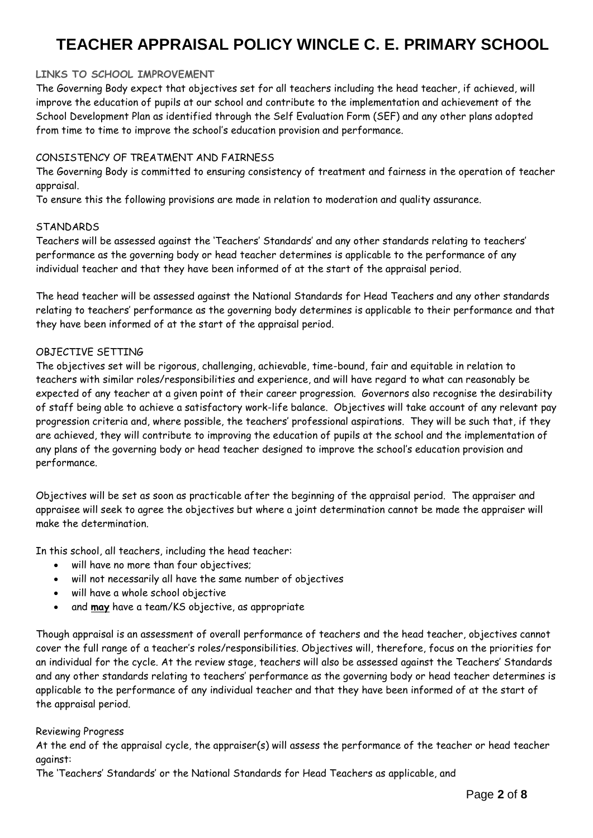#### **LINKS TO SCHOOL IMPROVEMENT**

The Governing Body expect that objectives set for all teachers including the head teacher, if achieved, will improve the education of pupils at our school and contribute to the implementation and achievement of the School Development Plan as identified through the Self Evaluation Form (SEF) and any other plans adopted from time to time to improve the school's education provision and performance.

#### CONSISTENCY OF TREATMENT AND FAIRNESS

The Governing Body is committed to ensuring consistency of treatment and fairness in the operation of teacher appraisal.

To ensure this the following provisions are made in relation to moderation and quality assurance.

#### **STANDARDS**

Teachers will be assessed against the 'Teachers' Standards' and any other standards relating to teachers' performance as the governing body or head teacher determines is applicable to the performance of any individual teacher and that they have been informed of at the start of the appraisal period.

The head teacher will be assessed against the National Standards for Head Teachers and any other standards relating to teachers' performance as the governing body determines is applicable to their performance and that they have been informed of at the start of the appraisal period.

#### OBJECTIVE SETTING

The objectives set will be rigorous, challenging, achievable, time-bound, fair and equitable in relation to teachers with similar roles/responsibilities and experience, and will have regard to what can reasonably be expected of any teacher at a given point of their career progression. Governors also recognise the desirability of staff being able to achieve a satisfactory work-life balance. Objectives will take account of any relevant pay progression criteria and, where possible, the teachers' professional aspirations. They will be such that, if they are achieved, they will contribute to improving the education of pupils at the school and the implementation of any plans of the governing body or head teacher designed to improve the school's education provision and performance.

Objectives will be set as soon as practicable after the beginning of the appraisal period. The appraiser and appraisee will seek to agree the objectives but where a joint determination cannot be made the appraiser will make the determination.

In this school, all teachers, including the head teacher:

- will have no more than four objectives;
- will not necessarily all have the same number of objectives
- will have a whole school objective
- and **may** have a team/KS objective, as appropriate

Though appraisal is an assessment of overall performance of teachers and the head teacher, objectives cannot cover the full range of a teacher's roles/responsibilities. Objectives will, therefore, focus on the priorities for an individual for the cycle. At the review stage, teachers will also be assessed against the Teachers' Standards and any other standards relating to teachers' performance as the governing body or head teacher determines is applicable to the performance of any individual teacher and that they have been informed of at the start of the appraisal period.

#### Reviewing Progress

At the end of the appraisal cycle, the appraiser(s) will assess the performance of the teacher or head teacher against:

The 'Teachers' Standards' or the National Standards for Head Teachers as applicable, and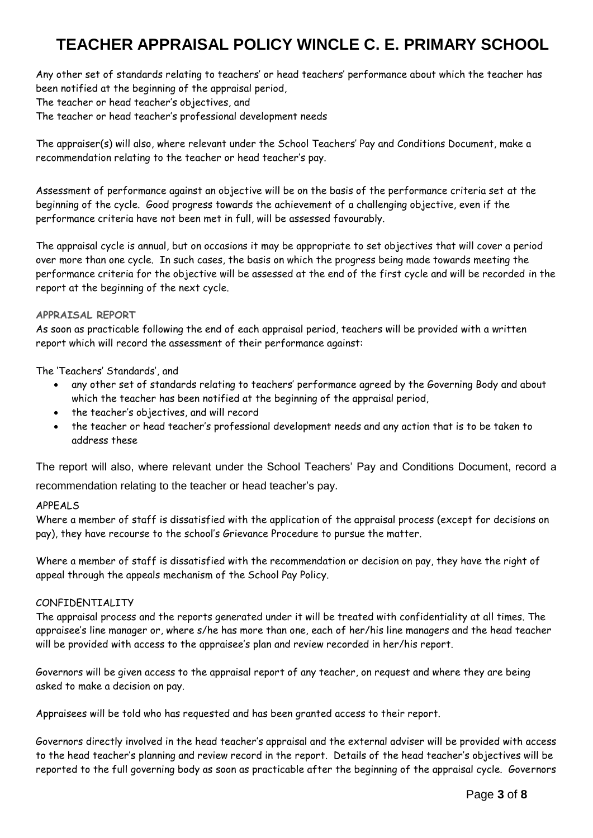Any other set of standards relating to teachers' or head teachers' performance about which the teacher has been notified at the beginning of the appraisal period, The teacher or head teacher's objectives, and The teacher or head teacher's professional development needs

The appraiser(s) will also, where relevant under the School Teachers' Pay and Conditions Document, make a recommendation relating to the teacher or head teacher's pay.

Assessment of performance against an objective will be on the basis of the performance criteria set at the beginning of the cycle. Good progress towards the achievement of a challenging objective, even if the performance criteria have not been met in full, will be assessed favourably.

The appraisal cycle is annual, but on occasions it may be appropriate to set objectives that will cover a period over more than one cycle. In such cases, the basis on which the progress being made towards meeting the performance criteria for the objective will be assessed at the end of the first cycle and will be recorded in the report at the beginning of the next cycle.

#### **APPRAISAL REPORT**

As soon as practicable following the end of each appraisal period, teachers will be provided with a written report which will record the assessment of their performance against:

The 'Teachers' Standards', and

- any other set of standards relating to teachers' performance agreed by the Governing Body and about which the teacher has been notified at the beginning of the appraisal period,
- the teacher's objectives, and will record
- the teacher or head teacher's professional development needs and any action that is to be taken to address these

The report will also, where relevant under the School Teachers' Pay and Conditions Document, record a recommendation relating to the teacher or head teacher's pay.

#### APPEALS

Where a member of staff is dissatisfied with the application of the appraisal process (except for decisions on pay), they have recourse to the school's Grievance Procedure to pursue the matter.

Where a member of staff is dissatisfied with the recommendation or decision on pay, they have the right of appeal through the appeals mechanism of the School Pay Policy.

#### CONFIDENTIALITY

The appraisal process and the reports generated under it will be treated with confidentiality at all times. The appraisee's line manager or, where s/he has more than one, each of her/his line managers and the head teacher will be provided with access to the appraisee's plan and review recorded in her/his report.

Governors will be given access to the appraisal report of any teacher, on request and where they are being asked to make a decision on pay.

Appraisees will be told who has requested and has been granted access to their report.

Governors directly involved in the head teacher's appraisal and the external adviser will be provided with access to the head teacher's planning and review record in the report. Details of the head teacher's objectives will be reported to the full governing body as soon as practicable after the beginning of the appraisal cycle. Governors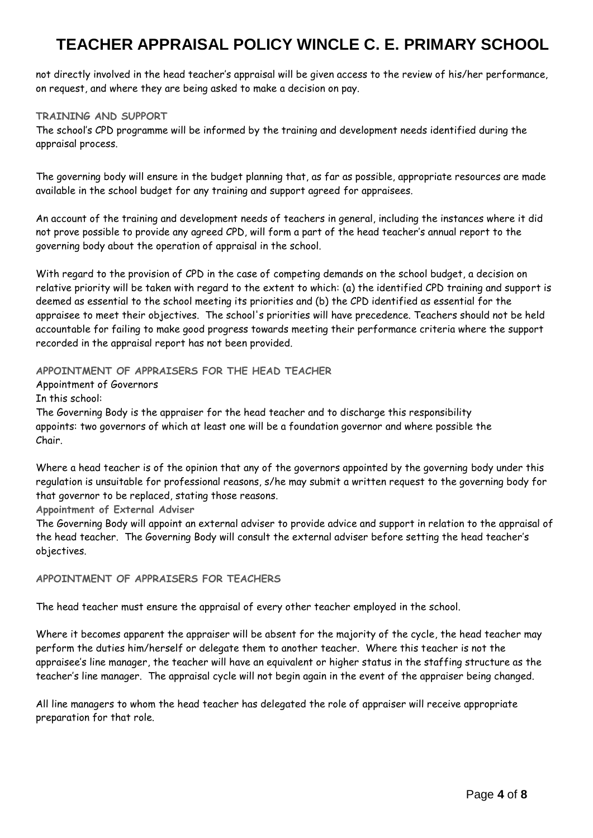not directly involved in the head teacher's appraisal will be given access to the review of his/her performance, on request, and where they are being asked to make a decision on pay.

#### **TRAINING AND SUPPORT**

The school's CPD programme will be informed by the training and development needs identified during the appraisal process.

The governing body will ensure in the budget planning that, as far as possible, appropriate resources are made available in the school budget for any training and support agreed for appraisees.

An account of the training and development needs of teachers in general, including the instances where it did not prove possible to provide any agreed CPD, will form a part of the head teacher's annual report to the governing body about the operation of appraisal in the school.

With regard to the provision of CPD in the case of competing demands on the school budget, a decision on relative priority will be taken with regard to the extent to which: (a) the identified CPD training and support is deemed as essential to the school meeting its priorities and (b) the CPD identified as essential for the appraisee to meet their objectives. The school's priorities will have precedence. Teachers should not be held accountable for failing to make good progress towards meeting their performance criteria where the support recorded in the appraisal report has not been provided.

**APPOINTMENT OF APPRAISERS FOR THE HEAD TEACHER** 

Appointment of Governors

In this school:

The Governing Body is the appraiser for the head teacher and to discharge this responsibility appoints: two governors of which at least one will be a foundation governor and where possible the Chair.

Where a head teacher is of the opinion that any of the governors appointed by the governing body under this regulation is unsuitable for professional reasons, s/he may submit a written request to the governing body for that governor to be replaced, stating those reasons.

**Appointment of External Adviser**

The Governing Body will appoint an external adviser to provide advice and support in relation to the appraisal of the head teacher. The Governing Body will consult the external adviser before setting the head teacher's objectives.

#### **APPOINTMENT OF APPRAISERS FOR TEACHERS**

The head teacher must ensure the appraisal of every other teacher employed in the school.

Where it becomes apparent the appraiser will be absent for the majority of the cycle, the head teacher may perform the duties him/herself or delegate them to another teacher. Where this teacher is not the appraisee's line manager, the teacher will have an equivalent or higher status in the staffing structure as the teacher's line manager. The appraisal cycle will not begin again in the event of the appraiser being changed.

All line managers to whom the head teacher has delegated the role of appraiser will receive appropriate preparation for that role.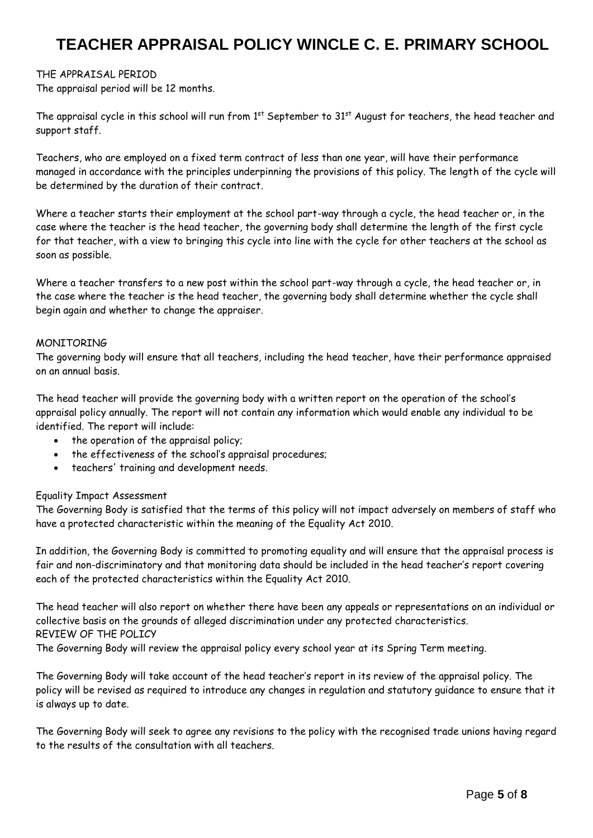#### THE APPRAISAL PERIOD

The appraisal period will be 12 months.

The appraisal cycle in this school will run from 1<sup>st</sup> September to 31<sup>st</sup> August for teachers, the head teacher and support staff.

Teachers, who are employed on a fixed term contract of less than one year, will have their performance managed in accordance with the principles underpinning the provisions of this policy. The length of the cycle will be determined by the duration of their contract*.*

Where a teacher starts their employment at the school part-way through a cycle, the head teacher or, in the case where the teacher is the head teacher, the governing body shall determine the length of the first cycle for that teacher, with a view to bringing this cycle into line with the cycle for other teachers at the school as soon as possible.

Where a teacher transfers to a new post within the school part-way through a cycle, the head teacher or, in the case where the teacher is the head teacher, the governing body shall determine whether the cycle shall begin again and whether to change the appraiser.

#### MONITORING

The governing body will ensure that all teachers, including the head teacher, have their performance appraised on an annual basis.

The head teacher will provide the governing body with a written report on the operation of the school's appraisal policy annually. The report will not contain any information which would enable any individual to be identified. The report will include:

- the operation of the appraisal policy;
- the effectiveness of the school's appraisal procedures;
- teachers' training and development needs.

#### Equality Impact Assessment

The Governing Body is satisfied that the terms of this policy will not impact adversely on members of staff who have a protected characteristic within the meaning of the Equality Act 2010.

In addition, the Governing Body is committed to promoting equality and will ensure that the appraisal process is fair and non-discriminatory and that monitoring data should be included in the head teacher's report covering each of the protected characteristics within the Equality Act 2010.

The head teacher will also report on whether there have been any appeals or representations on an individual or collective basis on the grounds of alleged discrimination under any protected characteristics. REVIEW OF THE POLICY

The Governing Body will review the appraisal policy every school year at its Spring Term meeting.

The Governing Body will take account of the head teacher's report in its review of the appraisal policy. The policy will be revised as required to introduce any changes in regulation and statutory guidance to ensure that it is always up to date.

The Governing Body will seek to agree any revisions to the policy with the recognised trade unions having regard to the results of the consultation with all teachers.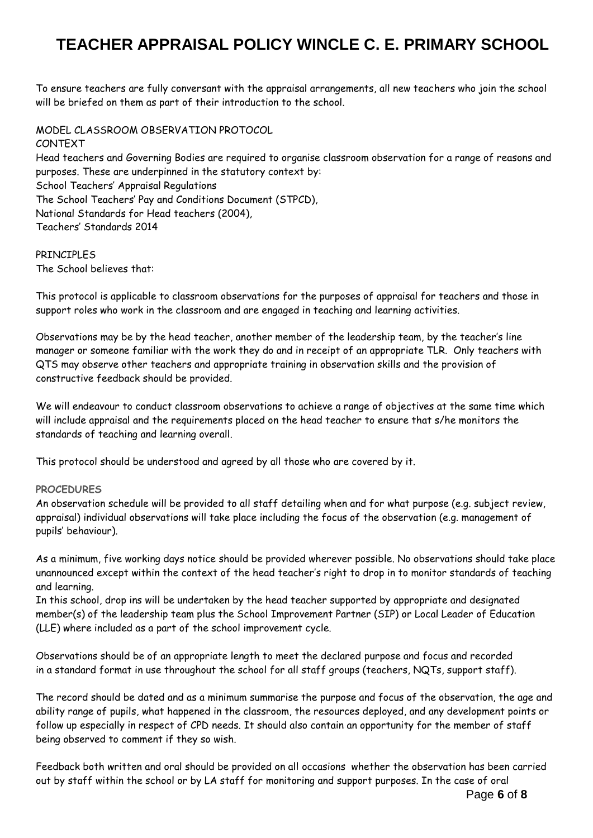To ensure teachers are fully conversant with the appraisal arrangements, all new teachers who join the school will be briefed on them as part of their introduction to the school.

MODEL CLASSROOM OBSERVATION PROTOCOL CONTEXT Head teachers and Governing Bodies are required to organise classroom observation for a range of reasons and purposes. These are underpinned in the statutory context by: School Teachers' Appraisal Regulations The School Teachers' Pay and Conditions Document (STPCD), National Standards for Head teachers (2004), Teachers' Standards 2014

#### PRINCIPLES The School believes that:

This protocol is applicable to classroom observations for the purposes of appraisal for teachers and those in support roles who work in the classroom and are engaged in teaching and learning activities.

Observations may be by the head teacher, another member of the leadership team, by the teacher's line manager or someone familiar with the work they do and in receipt of an appropriate TLR. Only teachers with QTS may observe other teachers and appropriate training in observation skills and the provision of constructive feedback should be provided.

We will endeavour to conduct classroom observations to achieve a range of objectives at the same time which will include appraisal and the requirements placed on the head teacher to ensure that s/he monitors the standards of teaching and learning overall.

This protocol should be understood and agreed by all those who are covered by it.

#### **PROCEDURES**

An observation schedule will be provided to all staff detailing when and for what purpose (e.g. subject review, appraisal) individual observations will take place including the focus of the observation (e.g. management of pupils' behaviour).

As a minimum, five working days notice should be provided wherever possible. No observations should take place unannounced except within the context of the head teacher's right to drop in to monitor standards of teaching and learning.

In this school, drop ins will be undertaken by the head teacher supported by appropriate and designated member(s) of the leadership team plus the School Improvement Partner (SIP) or Local Leader of Education (LLE) where included as a part of the school improvement cycle.

Observations should be of an appropriate length to meet the declared purpose and focus and recorded in a standard format in use throughout the school for all staff groups (teachers, NQTs, support staff).

The record should be dated and as a minimum summarise the purpose and focus of the observation, the age and ability range of pupils, what happened in the classroom, the resources deployed, and any development points or follow up especially in respect of CPD needs. It should also contain an opportunity for the member of staff being observed to comment if they so wish.

Feedback both written and oral should be provided on all occasions whether the observation has been carried out by staff within the school or by LA staff for monitoring and support purposes. In the case of oral